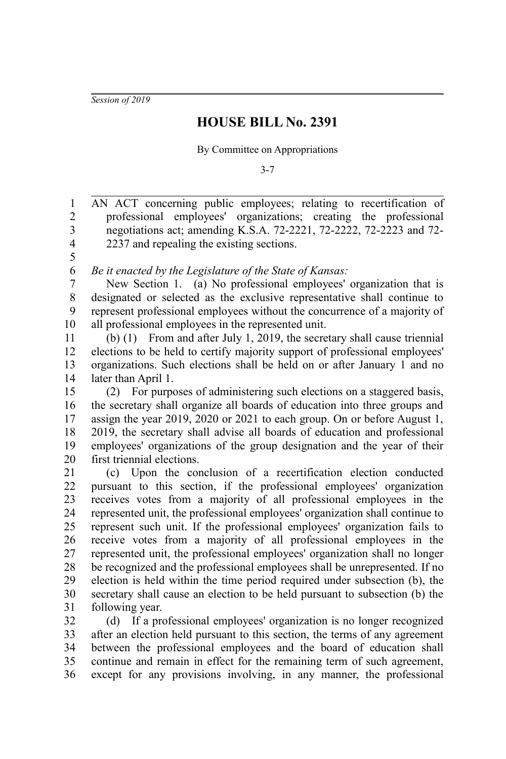*Session of 2019*

## **HOUSE BILL No. 2391**

By Committee on Appropriations

3-7

AN ACT concerning public employees; relating to recertification of professional employees' organizations; creating the professional negotiations act; amending K.S.A. 72-2221, 72-2222, 72-2223 and 72- 2237 and repealing the existing sections. 1 2 3 4 5 6

*Be it enacted by the Legislature of the State of Kansas:*

New Section 1. (a) No professional employees' organization that is designated or selected as the exclusive representative shall continue to represent professional employees without the concurrence of a majority of all professional employees in the represented unit. 7 8 9 10

(b) (1) From and after July 1, 2019, the secretary shall cause triennial elections to be held to certify majority support of professional employees' organizations. Such elections shall be held on or after January 1 and no later than April 1. 11 12 13 14

(2) For purposes of administering such elections on a staggered basis, the secretary shall organize all boards of education into three groups and assign the year 2019, 2020 or 2021 to each group. On or before August 1, 2019, the secretary shall advise all boards of education and professional employees' organizations of the group designation and the year of their first triennial elections. 15 16 17 18 19 20

(c) Upon the conclusion of a recertification election conducted pursuant to this section, if the professional employees' organization receives votes from a majority of all professional employees in the represented unit, the professional employees' organization shall continue to represent such unit. If the professional employees' organization fails to receive votes from a majority of all professional employees in the represented unit, the professional employees' organization shall no longer be recognized and the professional employees shall be unrepresented. If no election is held within the time period required under subsection (b), the secretary shall cause an election to be held pursuant to subsection (b) the following year. 21 22 23 24 25 26 27 28 29 30 31

(d) If a professional employees' organization is no longer recognized after an election held pursuant to this section, the terms of any agreement between the professional employees and the board of education shall continue and remain in effect for the remaining term of such agreement, except for any provisions involving, in any manner, the professional 32 33 34 35 36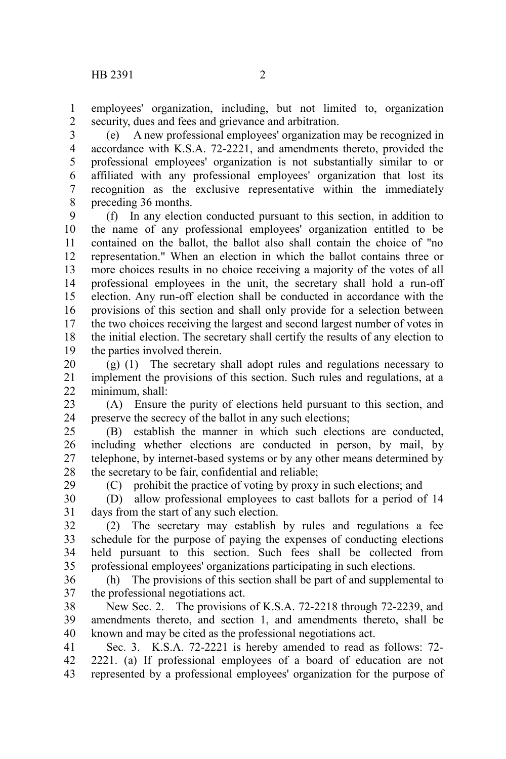29

employees' organization, including, but not limited to, organization security, dues and fees and grievance and arbitration. 1 2

(e) A new professional employees' organization may be recognized in accordance with K.S.A. 72-2221, and amendments thereto, provided the professional employees' organization is not substantially similar to or affiliated with any professional employees' organization that lost its recognition as the exclusive representative within the immediately preceding 36 months. 3 4 5 6 7 8

(f) In any election conducted pursuant to this section, in addition to the name of any professional employees' organization entitled to be contained on the ballot, the ballot also shall contain the choice of "no representation." When an election in which the ballot contains three or more choices results in no choice receiving a majority of the votes of all professional employees in the unit, the secretary shall hold a run-off election. Any run-off election shall be conducted in accordance with the provisions of this section and shall only provide for a selection between the two choices receiving the largest and second largest number of votes in the initial election. The secretary shall certify the results of any election to the parties involved therein. 9 10 11 12 13 14 15 16 17 18 19

(g) (1) The secretary shall adopt rules and regulations necessary to implement the provisions of this section. Such rules and regulations, at a minimum, shall: 20 21 22

(A) Ensure the purity of elections held pursuant to this section, and preserve the secrecy of the ballot in any such elections; 23 24

(B) establish the manner in which such elections are conducted, including whether elections are conducted in person, by mail, by telephone, by internet-based systems or by any other means determined by the secretary to be fair, confidential and reliable; 25 26 27 28

(C) prohibit the practice of voting by proxy in such elections; and

(D) allow professional employees to cast ballots for a period of 14 days from the start of any such election. 30 31

(2) The secretary may establish by rules and regulations a fee schedule for the purpose of paying the expenses of conducting elections held pursuant to this section. Such fees shall be collected from professional employees' organizations participating in such elections. 32 33 34 35

(h) The provisions of this section shall be part of and supplemental to the professional negotiations act. 36 37

New Sec. 2. The provisions of K.S.A. 72-2218 through 72-2239, and amendments thereto, and section 1, and amendments thereto, shall be known and may be cited as the professional negotiations act. 38 39 40

Sec. 3. K.S.A. 72-2221 is hereby amended to read as follows: 72- 2221. (a) If professional employees of a board of education are not represented by a professional employees' organization for the purpose of 41 42 43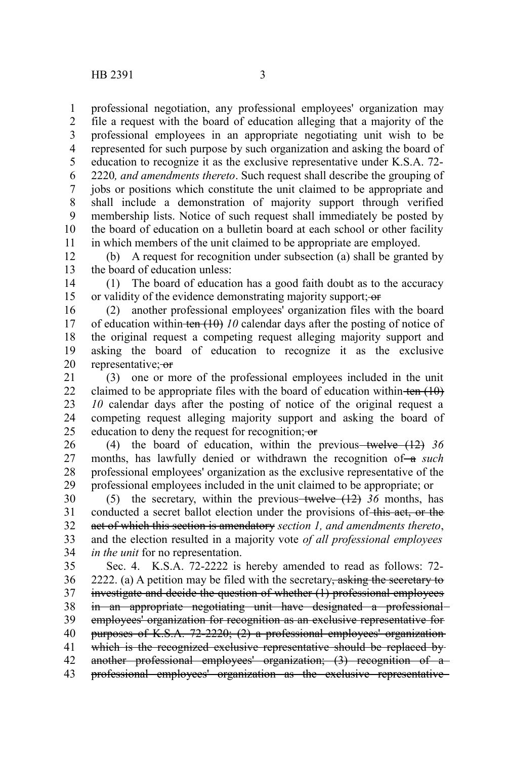professional negotiation, any professional employees' organization may file a request with the board of education alleging that a majority of the professional employees in an appropriate negotiating unit wish to be represented for such purpose by such organization and asking the board of education to recognize it as the exclusive representative under K.S.A. 72- 2220*, and amendments thereto*. Such request shall describe the grouping of jobs or positions which constitute the unit claimed to be appropriate and shall include a demonstration of majority support through verified membership lists. Notice of such request shall immediately be posted by the board of education on a bulletin board at each school or other facility in which members of the unit claimed to be appropriate are employed. 1 2 3 4 5 6 7 8 9 10 11

(b) A request for recognition under subsection (a) shall be granted by the board of education unless: 12 13

(1) The board of education has a good faith doubt as to the accuracy or validity of the evidence demonstrating majority support; or 14 15

(2) another professional employees' organization files with the board of education within ten  $(10)$  *10* calendar days after the posting of notice of the original request a competing request alleging majority support and asking the board of education to recognize it as the exclusive representative; or 16 17 18 19 20

(3) one or more of the professional employees included in the unit claimed to be appropriate files with the board of education within ten  $(10)$ *10* calendar days after the posting of notice of the original request a competing request alleging majority support and asking the board of education to deny the request for recognition; or 21 22 23 24 25

(4) the board of education, within the previous–twelve (12) 36 months, has lawfully denied or withdrawn the recognition of-a *such* professional employees' organization as the exclusive representative of the professional employees included in the unit claimed to be appropriate; or 26 27 28 29

(5) the secretary, within the previous-twelve  $(12)$  36 months, has conducted a secret ballot election under the provisions of this act, or the act of which this section is amendatory *section 1, and amendments thereto*, and the election resulted in a majority vote *of all professional employees in the unit* for no representation. 30 31 32 33 34

Sec. 4. K.S.A. 72-2222 is hereby amended to read as follows: 72- 2222. (a) A petition may be filed with the secretary, asking the secretary to investigate and decide the question of whether (1) professional employees in an appropriate negotiating unit have designated a professional employees' organization for recognition as an exclusive representative for purposes of K.S.A. 72-2220; (2) a professional employees' organization which is the recognized exclusive representative should be replaced byanother professional employees' organization; (3) recognition of a professional employees' organization as the exclusive representative 35 36 37 38 39 40 41 42 43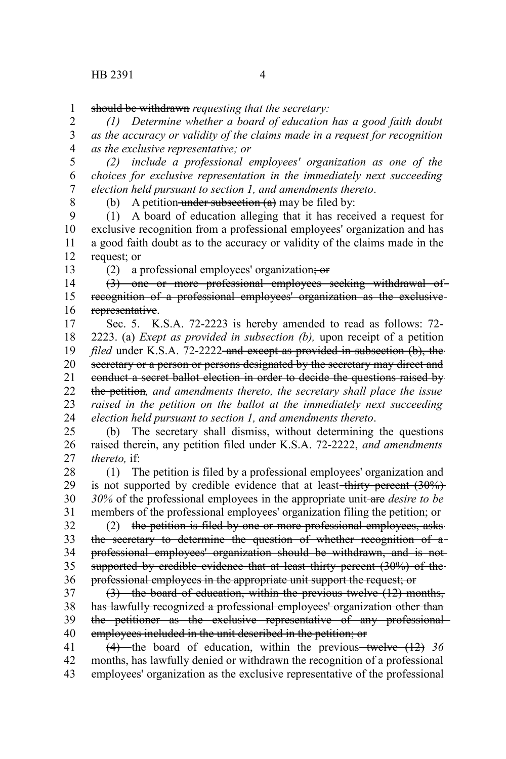should be withdrawn *requesting that the secretary:* 1

*(1) Determine whether a board of education has a good faith doubt as the accuracy or validity of the claims made in a request for recognition as the exclusive representative; or* 2 3 4

*(2) include a professional employees' organization as one of the choices for exclusive representation in the immediately next succeeding election held pursuant to section 1, and amendments thereto*. 5 6 7

8

(b) A petition under subsection  $(a)$  may be filed by:

(1) A board of education alleging that it has received a request for exclusive recognition from a professional employees' organization and has a good faith doubt as to the accuracy or validity of the claims made in the request; or 9 10 11 12

13

(2) a professional employees' organization;  $\overline{or}$ 

(3) one or more professional employees seeking withdrawal of recognition of a professional employees' organization as the exclusive representative. 14 15 16

Sec. 5. K.S.A. 72-2223 is hereby amended to read as follows: 72- 2223. (a) *Exept as provided in subsection (b),* upon receipt of a petition *filed* under K.S.A. 72-2222-and except as provided in subsection (b), the secretary or a person or persons designated by the secretary may direct and conduct a secret ballot election in order to decide the questions raised by the petition*, and amendments thereto, the secretary shall place the issue raised in the petition on the ballot at the immediately next succeeding election held pursuant to section 1, and amendments thereto*. 17 18 19 20 21 22 23 24

(b) The secretary shall dismiss, without determining the questions raised therein, any petition filed under K.S.A. 72-2222, *and amendments thereto,* if: 25 26 27

(1) The petition is filed by a professional employees' organization and is not supported by credible evidence that at least-thirty percent  $(30\%)$ *30%* of the professional employees in the appropriate unit are *desire to be* members of the professional employees' organization filing the petition; or 28 29 30 31

(2) the petition is filed by one or more professional employees, asks the secretary to determine the question of whether recognition of a professional employees' organization should be withdrawn, and is not supported by credible evidence that at least thirty percent (30%) of the professional employees in the appropriate unit support the request; or 32 33 34 35 36

(3) the board of education, within the previous twelve (12) months, has lawfully recognized a professional employees' organization other than the petitioner as the exclusive representative of any professional employees included in the unit described in the petition; or 37 38 39 40

(4) the board of education, within the previous twelve (12) 36 months, has lawfully denied or withdrawn the recognition of a professional employees' organization as the exclusive representative of the professional 41 42 43